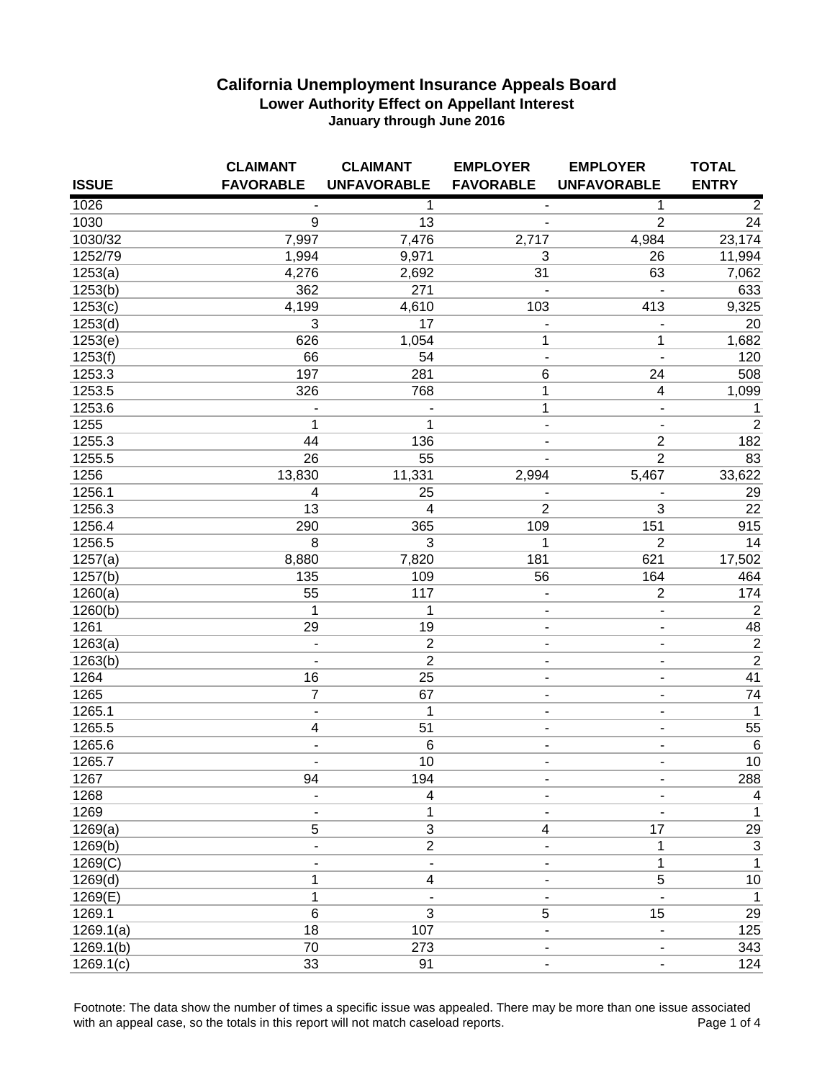|              | <b>CLAIMANT</b>          | <b>CLAIMANT</b>    | <b>EMPLOYER</b>              | <b>EMPLOYER</b>          | <b>TOTAL</b>    |
|--------------|--------------------------|--------------------|------------------------------|--------------------------|-----------------|
| <b>ISSUE</b> | <b>FAVORABLE</b>         | <b>UNFAVORABLE</b> | <b>FAVORABLE</b>             | <b>UNFAVORABLE</b>       | <b>ENTRY</b>    |
| 1026         |                          | 1                  | $\overline{\phantom{a}}$     | 1                        | $\overline{2}$  |
| 1030         | 9                        | 13                 |                              | $\overline{2}$           | 24              |
| 1030/32      | 7,997                    | 7,476              | 2,717                        | 4,984                    | 23,174          |
| 1252/79      | 1,994                    | 9,971              | 3                            | 26                       | 11,994          |
| 1253(a)      | 4,276                    | 2,692              | 31                           | 63                       | 7,062           |
| 1253(b)      | 362                      | 271                |                              |                          | 633             |
| 1253(c)      | 4,199                    | 4,610              | 103                          | 413                      | 9,325           |
| 1253(d)      | 3                        | 17                 |                              |                          | 20              |
| 1253(e)      | 626                      | 1,054              | 1                            | 1                        | 1,682           |
| 1253(f)      | 66                       | 54                 | $\blacksquare$               | ÷,                       | 120             |
| 1253.3       | 197                      | 281                | 6                            | 24                       | 508             |
| 1253.5       | 326                      | 768                | 1                            | $\overline{\mathbf{4}}$  | 1,099           |
| 1253.6       |                          | $\blacksquare$     | 1                            | $\overline{\phantom{a}}$ | $\mathbf{1}$    |
| 1255         | 1                        | 1                  | $\qquad \qquad \blacksquare$ | $\blacksquare$           | $\overline{2}$  |
| 1255.3       | 44                       | 136                | $\overline{\phantom{0}}$     | $\boldsymbol{2}$         | 182             |
| 1255.5       | 26                       | 55                 | ä,                           | $\overline{2}$           | 83              |
| 1256         | 13,830                   | 11,331             | 2,994                        | 5,467                    | 33,622          |
| 1256.1       | 4                        | 25                 |                              |                          | 29              |
| 1256.3       | 13                       | 4                  | $\overline{2}$               | 3                        | 22              |
| 1256.4       | 290                      | 365                | 109                          | 151                      | 915             |
| 1256.5       | 8                        | 3                  | 1                            | $\overline{2}$           | 14              |
| 1257(a)      | 8,880                    | 7,820              | 181                          | 621                      | 17,502          |
| 1257(b)      | 135                      | 109                | 56                           | 164                      | 464             |
| 1260(a)      | 55                       | 117                | ÷                            | $\mathbf 2$              | 174             |
| 1260(b)      | 1                        | 1                  | ۰                            | $\overline{\phantom{a}}$ | $\overline{2}$  |
| 1261         | 29                       | 19                 | ٠                            | $\overline{\phantom{a}}$ | 48              |
| 1263(a)      | $\overline{\phantom{a}}$ | $\overline{2}$     | $\qquad \qquad \blacksquare$ | $\blacksquare$           | $\overline{2}$  |
| 1263(b)      | $\overline{\phantom{a}}$ | $\overline{2}$     | -                            | $\blacksquare$           | $\overline{2}$  |
| 1264         | 16                       | 25                 | ٠                            | $\overline{\phantom{a}}$ | 41              |
| 1265         | $\overline{7}$           | 67                 | $\overline{\phantom{a}}$     | $\overline{\phantom{a}}$ | $\overline{74}$ |
| 1265.1       | $\blacksquare$           | $\mathbf{1}$       | $\overline{\phantom{0}}$     | $\blacksquare$           | $\overline{1}$  |
| 1265.5       | 4                        | 51                 | ٠                            | $\overline{\phantom{a}}$ | 55              |
| 1265.6       | ä,                       | $6\phantom{1}6$    | ä,                           |                          | $\,6$           |
| 1265.7       | $\overline{\phantom{a}}$ | 10                 | $\overline{\phantom{0}}$     | $\blacksquare$           | 10              |
| 1267         | 94                       | 194                |                              |                          | 288             |
| 1268         |                          | 4                  |                              |                          | 4               |
| 1269         |                          | 1                  |                              |                          | 1               |
| 1269(a)      | 5                        | $\overline{3}$     | 4                            | 17                       | 29              |
| 1269(b)      |                          | $\overline{2}$     |                              | 1                        | $\overline{3}$  |
| 1269(C)      |                          |                    |                              | 1                        | $\mathbf{1}$    |
| 1269(d)      | 1                        | 4                  |                              | $\mathbf 5$              | 10              |
| 1269(E)      | 1                        |                    |                              |                          | $\mathbf{1}$    |
| 1269.1       | $\,6$                    | 3                  | 5                            | 15                       | 29              |
| 1269.1(a)    | 18                       | 107                | -                            |                          | 125             |
| 1269.1(b)    | 70                       | 273                |                              |                          | 343             |
| 1269.1(c)    | 33                       | 91                 |                              |                          | 124             |

Footnote: The data show the number of times a specific issue was appealed. There may be more than one issue associated<br>4 with an appeal case, so the totals in this report will not match caseload reports. with an appeal case, so the totals in this report will not match caseload reports.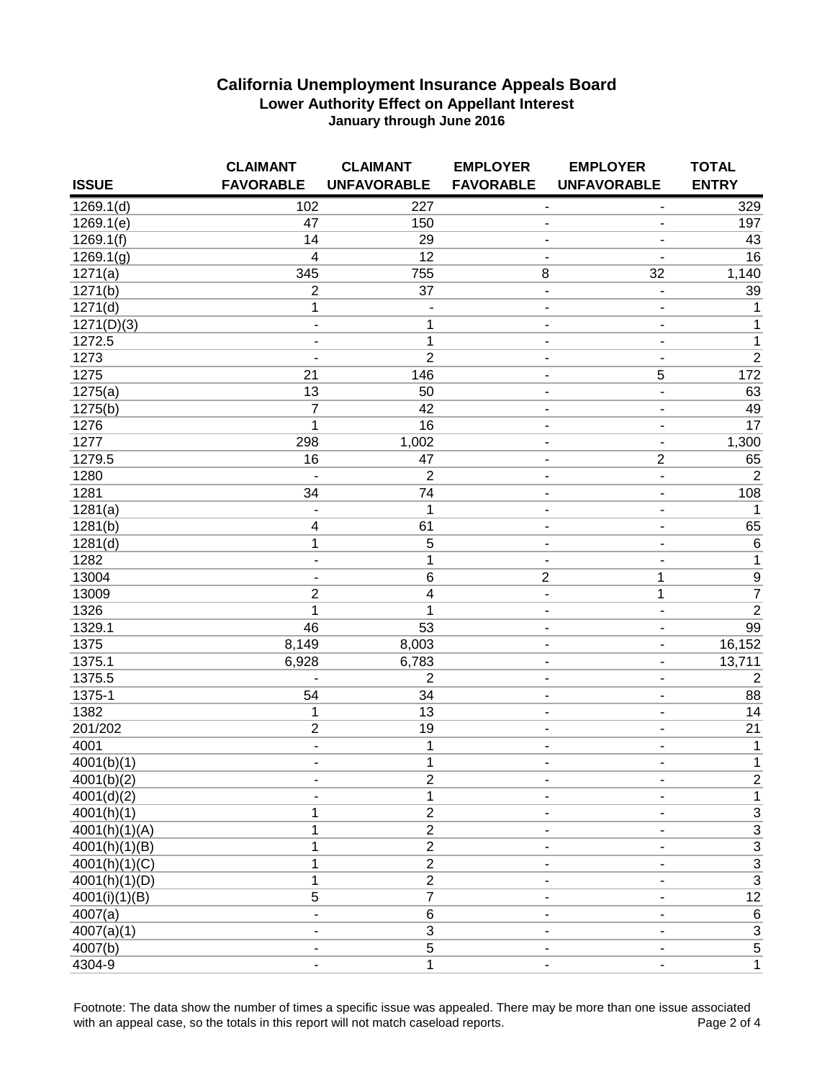|               | <b>CLAIMANT</b>              | <b>CLAIMANT</b>              | <b>EMPLOYER</b>              | <b>EMPLOYER</b>              | <b>TOTAL</b>              |
|---------------|------------------------------|------------------------------|------------------------------|------------------------------|---------------------------|
| <b>ISSUE</b>  | <b>FAVORABLE</b>             | <b>UNFAVORABLE</b>           | <b>FAVORABLE</b>             | <b>UNFAVORABLE</b>           | <b>ENTRY</b>              |
| 1269.1(d)     | 102                          | 227                          | ۰                            | ٠                            | 329                       |
| 1269.1(e)     | 47                           | 150                          | $\overline{\phantom{a}}$     |                              | 197                       |
| 1269.1(f)     | 14                           | 29                           |                              |                              | 43                        |
| 1269.1(g)     | 4                            | 12                           |                              |                              | 16                        |
| 1271(a)       | 345                          | 755                          | 8                            | 32                           | 1,140                     |
| 1271(b)       | $\mathbf 2$                  | 37                           | $\overline{\phantom{a}}$     |                              | 39                        |
| 1271(d)       | $\mathbf{1}$                 | $\qquad \qquad \blacksquare$ | $\qquad \qquad \blacksquare$ | $\blacksquare$               | 1                         |
| 1271(D)(3)    | $\qquad \qquad \blacksquare$ | 1                            | $\qquad \qquad \blacksquare$ | $\blacksquare$               | 1                         |
| 1272.5        | $\qquad \qquad \blacksquare$ | $\mathbf{1}$                 | $\qquad \qquad \blacksquare$ | $\blacksquare$               | $\mathbf 1$               |
| 1273          | ٠                            | $\overline{2}$               | $\overline{\phantom{a}}$     | $\blacksquare$               | $\overline{2}$            |
| 1275          | 21                           | 146                          | $\blacksquare$               | 5                            | 172                       |
| 1275(a)       | 13                           | 50                           | ÷                            | $\overline{\phantom{0}}$     | 63                        |
| 1275(b)       | $\overline{7}$               | 42                           | ۰                            | $\overline{\phantom{a}}$     | 49                        |
| 1276          | 1                            | 16                           | $\overline{a}$               | ۰                            | 17                        |
| 1277          | 298                          | 1,002                        | $\overline{\phantom{a}}$     | $\overline{\phantom{a}}$     | 1,300                     |
| 1279.5        | 16                           | 47                           | $\overline{a}$               | $\mathbf 2$                  | 65                        |
| 1280          |                              | $\overline{2}$               | ٠                            | $\overline{\phantom{a}}$     | $\overline{2}$            |
| 1281          | 34                           | 74                           |                              | ٠                            | 108                       |
| 1281(a)       |                              | 1                            |                              | $\overline{\phantom{a}}$     | 1                         |
| 1281(b)       | 4                            | 61                           |                              | $\overline{\phantom{a}}$     | 65                        |
| 1281(d)       | 1                            | $\overline{5}$               | ٠                            | $\overline{\phantom{a}}$     | $6\overline{6}$           |
| 1282          | $\qquad \qquad \blacksquare$ | 1                            | $\overline{\phantom{a}}$     | $\overline{\phantom{a}}$     | $\overline{1}$            |
| 13004         | $\qquad \qquad \blacksquare$ | $6\phantom{1}6$              | $\overline{2}$               | 1                            | $\frac{9}{7}$             |
| 13009         | 2                            | $\overline{4}$               | $\qquad \qquad \blacksquare$ | 1                            |                           |
| 1326          | 1                            | 1                            | -                            | $\blacksquare$               | $\overline{2}$            |
| 1329.1        | 46                           | 53                           | $\overline{\phantom{a}}$     | $\blacksquare$               | 99                        |
| 1375          | 8,149                        | 8,003                        | $\overline{\phantom{a}}$     | $\qquad \qquad \blacksquare$ | 16,152                    |
| 1375.1        | 6,928                        | 6,783                        | $\blacksquare$               | $\overline{\phantom{a}}$     | 13,711                    |
| 1375.5        |                              | $\overline{2}$               | ۰                            | ٠                            | $\overline{2}$            |
| 1375-1        | 54                           | 34                           | -                            | ۰                            | 88                        |
| 1382          | 1                            | 13                           | $\overline{\phantom{a}}$     | ۰                            | 14                        |
| 201/202       | $\overline{c}$               | 19                           | $\overline{a}$               | ۰                            | 21                        |
| 4001          | $\qquad \qquad \blacksquare$ | 1                            | $\overline{\phantom{a}}$     | ٠                            | 1                         |
| 4001(b)(1)    | $\qquad \qquad \blacksquare$ | $\mathbf{1}$                 | $\overline{\phantom{a}}$     | ۰                            | $\mathbf 1$               |
| 4001(b)(2)    |                              | $\overline{2}$               | $\overline{\phantom{a}}$     |                              | $\mathbf 2$               |
| 4001(d)(2)    |                              | 1                            |                              |                              | 1                         |
| 4001(h)(1)    | 1                            | $\overline{2}$               |                              |                              | 3                         |
| 4001(h)(1)(A) | 1                            | $\overline{2}$               |                              |                              | $\ensuremath{\mathsf{3}}$ |
| 4001(h)(1)(B) | 1                            | $\overline{2}$               |                              |                              | $\ensuremath{\mathsf{3}}$ |
| 4001(h)(1)(C) | 1                            | $\boldsymbol{2}$             |                              |                              | $\overline{3}$            |
| 4001(h)(1)(D) | 1                            | $\overline{2}$               |                              |                              | $\overline{\mathbf{3}}$   |
| 4001(i)(1)(B) | $\overline{5}$               | $\overline{7}$               |                              |                              | 12                        |
| 4007(a)       |                              | $\,6$                        |                              |                              | $\,6$                     |
| 4007(a)(1)    |                              | $\sqrt{3}$                   |                              |                              | $\mathbf{3}$              |
| 4007(b)       |                              | $\sqrt{5}$                   |                              |                              | $\,$ 5 $\,$               |
| 4304-9        |                              | $\mathbf{1}$                 |                              |                              | 1                         |

Footnote: The data show the number of times a specific issue was appealed. There may be more than one issue associated<br>4 with an appeal case, so the totals in this report will not match caseload reports. with an appeal case, so the totals in this report will not match caseload reports.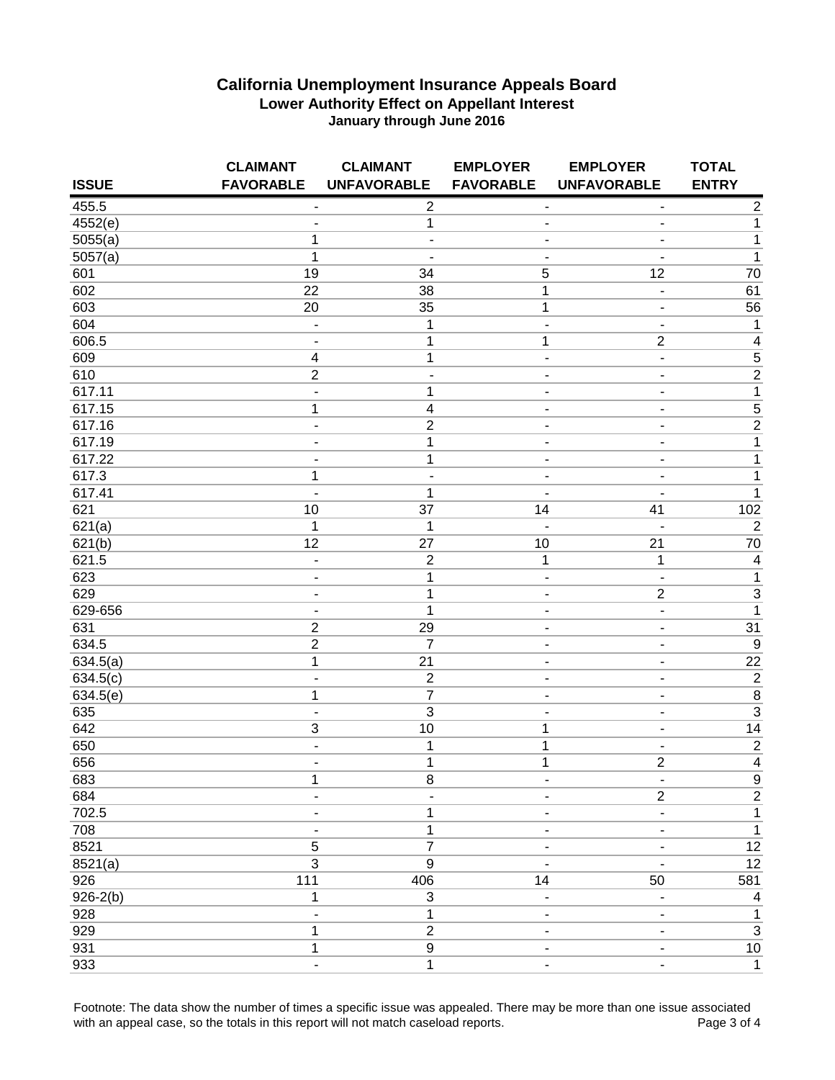|              | <b>CLAIMANT</b>              | <b>CLAIMANT</b>         | <b>EMPLOYER</b>          | <b>EMPLOYER</b>              | <b>TOTAL</b>            |
|--------------|------------------------------|-------------------------|--------------------------|------------------------------|-------------------------|
| <b>ISSUE</b> | <b>FAVORABLE</b>             | <b>UNFAVORABLE</b>      | <b>FAVORABLE</b>         | <b>UNFAVORABLE</b>           | <b>ENTRY</b>            |
| 455.5        | $\overline{a}$               | $\overline{2}$          | $\blacksquare$           |                              | $\overline{2}$          |
| 4552(e)      | ٠                            | 1                       | $\blacksquare$           |                              | $\mathbf{1}$            |
| 5055(a)      | 1                            | L,                      | ٠                        |                              | $\mathbf 1$             |
| 5057(a)      | $\mathbf{1}$                 |                         |                          |                              | $\mathbf 1$             |
| 601          | 19                           | 34                      | 5                        | 12                           | 70                      |
| 602          | 22                           | 38                      | 1                        | $\overline{\phantom{a}}$     | 61                      |
| 603          | 20                           | 35                      | 1                        | $\overline{\phantom{0}}$     | 56                      |
| 604          | $\overline{\phantom{a}}$     | $\mathbf 1$             | $\blacksquare$           | $\blacksquare$               | 1                       |
| 606.5        | $\overline{a}$               | 1                       | 1                        | $\overline{2}$               | $\overline{4}$          |
| 609          | 4                            | 1                       | $\overline{\phantom{a}}$ | ä,                           | $\frac{1}{2}$           |
| 610          | $\overline{c}$               | $\overline{a}$          | $\overline{\phantom{a}}$ | $\overline{\phantom{a}}$     |                         |
| 617.11       | $\qquad \qquad \blacksquare$ | 1                       | ÷                        |                              | $\overline{1}$          |
| 617.15       | 1                            | $\overline{\mathbf{4}}$ | $\blacksquare$           | $\blacksquare$               | $\overline{5}$          |
| 617.16       | $\overline{a}$               | $\mathbf 2$             | $\overline{a}$           | $\overline{\phantom{0}}$     | $\overline{2}$          |
| 617.19       | ٠                            | $\mathbf 1$             | $\overline{\phantom{a}}$ | $\overline{\phantom{0}}$     | $\mathbf 1$             |
| 617.22       | $\overline{\phantom{0}}$     | 1                       | $\overline{a}$           | $\overline{\phantom{a}}$     | $\mathbf 1$             |
| 617.3        | 1                            | ۰                       | ٠                        |                              | $\mathbf 1$             |
| 617.41       | ٠                            | 1                       |                          |                              | $\mathbf{1}$            |
| 621          | 10                           | 37                      | 14                       | 41                           | 102                     |
| 621(a)       | 1                            | 1                       |                          |                              | $\sqrt{2}$              |
| 621(b)       | $\overline{12}$              | $\overline{27}$         | 10                       | $\overline{21}$              | 70                      |
| 621.5        | $\overline{\phantom{a}}$     | $\sqrt{2}$              | $\mathbf 1$              | 1                            | $\overline{\mathbf{4}}$ |
| 623          | $\overline{a}$               | $\mathbf 1$             | $\blacksquare$           | ä,                           | $\overline{1}$          |
| 629          | $\blacksquare$               | $\mathbf{1}$            | $\overline{\phantom{a}}$ | $\overline{2}$               | $\overline{\mathbf{3}}$ |
| 629-656      | $\overline{\phantom{a}}$     | $\mathbf{1}$            | $\overline{\phantom{a}}$ | $\overline{\phantom{m}}$     | $\overline{1}$          |
| 631          | $\overline{c}$               | 29                      | $\overline{\phantom{a}}$ | $\blacksquare$               | $\overline{31}$         |
| 634.5        | $\overline{2}$               | $\overline{7}$          | $\blacksquare$           | ٠                            | $\overline{9}$          |
| 634.5(a)     | $\mathbf 1$                  | 21                      | $\blacksquare$           | $\blacksquare$               | 22                      |
| 634.5(c)     | $\blacksquare$               | $\overline{2}$          | $\blacksquare$           | ä,                           | $\overline{2}$          |
| 634.5(e)     | 1                            | $\overline{7}$          | $\overline{\phantom{a}}$ | $\blacksquare$               | $\overline{8}$          |
| 635          | $\overline{a}$               | $\overline{3}$          | $\overline{a}$           | $\qquad \qquad \blacksquare$ | $\overline{3}$          |
| 642          | 3                            | 10                      | 1                        | ٠                            | 14                      |
| 650          | $\overline{\phantom{a}}$     | 1                       | 1                        |                              | $\overline{2}$          |
| 656          | $\blacksquare$               | 1                       | 1                        | $\overline{2}$               | $\overline{4}$          |
| 683          | 1                            | 8                       | ۰                        |                              | $\boldsymbol{9}$        |
| 684          |                              |                         |                          | $\overline{2}$               | $\overline{2}$          |
| 702.5        |                              | 1                       |                          |                              | 1                       |
| 708          |                              | 1                       |                          |                              | 1                       |
| 8521         | 5                            | $\overline{7}$          |                          |                              | 12                      |
| 8521(a)      | $\overline{3}$               | $\boldsymbol{9}$        |                          |                              | $\overline{12}$         |
| 926          | 111                          | 406                     | 14                       | 50                           | 581                     |
| $926 - 2(b)$ | 1                            | 3                       | $\blacksquare$           | ä,                           | 4                       |
| 928          | $\blacksquare$               | 1                       | $\overline{a}$           |                              | $\mathbf{1}$            |
| 929          | 1                            | $\overline{2}$          | ٠                        |                              | $\overline{3}$          |
| 931          | 1                            | $\boldsymbol{9}$        |                          |                              | $10$                    |
| 933          | ä,                           | 1                       |                          |                              | $\mathbf{1}$            |

Footnote: The data show the number of times a specific issue was appealed. There may be more than one issue associated<br>4 with an appeal case, so the totals in this report will not match caseload reports. with an appeal case, so the totals in this report will not match caseload reports.